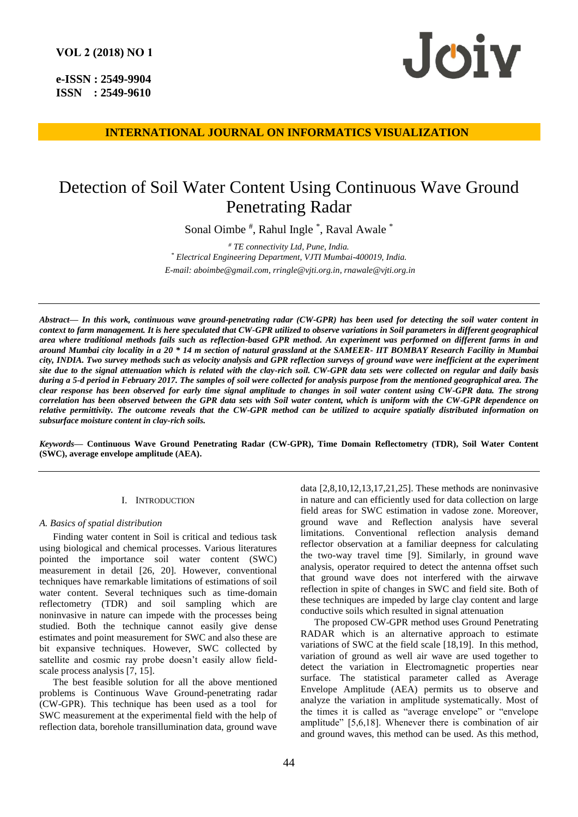**e-ISSN : 2549-9904 ISSN : 2549-9610** 



**INTERNATIONAL JOURNAL ON INFORMATICS VISUALIZATION**

# Detection of Soil Water Content Using Continuous Wave Ground Penetrating Radar

Sonal Oimbe<sup>#</sup>, Rahul Ingle<sup>\*</sup>, Raval Awale<sup>\*</sup>

*# TE connectivity Ltd, Pune, India. \* Electrical Engineering Department, VJTI Mumbai-400019, India. E-mail[: aboimbe@gmail.com,](mailto:aboimbe@gmail.com) [rringle@vjti.org.in,](mailto:rringle@vjti.org.in) [rnawale@vjti.org.in](mailto:rnawale@vjti.org.in)*

*Abstract***—** *In this work, continuous wave ground-penetrating radar (CW-GPR) has been used for detecting the soil water content in context to farm management. It is here speculated that CW-GPR utilized to observe variations in Soil parameters in different geographical area where traditional methods fails such as reflection-based GPR method. An experiment was performed on different farms in and around Mumbai city locality in a 20 \* 14 m section of natural grassland at the SAMEER- IIT BOMBAY Research Facility in Mumbai city, INDIA. Two survey methods such as velocity analysis and GPR reflection surveys of ground wave were inefficient at the experiment site due to the signal attenuation which is related with the clay-rich soil. CW-GPR data sets were collected on regular and daily basis during a 5-d period in February 2017. The samples of soil were collected for analysis purpose from the mentioned geographical area. The clear response has been observed for early time signal amplitude to changes in soil water content using CW-GPR data. The strong correlation has been observed between the GPR data sets with Soil water content, which is uniform with the CW-GPR dependence on relative permittivity. The outcome reveals that the CW-GPR method can be utilized to acquire spatially distributed information on subsurface moisture content in clay-rich soils.*

*Keywords***— Continuous Wave Ground Penetrating Radar (CW-GPR), Time Domain Reflectometry (TDR), Soil Water Content (SWC), average envelope amplitude (AEA).**

## I. INTRODUCTION

## *A. Basics of spatial distribution*

Finding water content in Soil is critical and tedious task using biological and chemical processes. Various literatures pointed the importance soil water content (SWC) measurement in detail [26, 20]. However, conventional techniques have remarkable limitations of estimations of soil water content. Several techniques such as time-domain reflectometry (TDR) and soil sampling which are noninvasive in nature can impede with the processes being studied. Both the technique cannot easily give dense estimates and point measurement for SWC and also these are bit expansive techniques. However, SWC collected by satellite and cosmic ray probe doesn't easily allow fieldscale process analysis [7, 15].

The best feasible solution for all the above mentioned problems is Continuous Wave Ground-penetrating radar (CW-GPR). This technique has been used as a tool for SWC measurement at the experimental field with the help of reflection data, borehole transillumination data, ground wave

data [2,8,10,12,13,17,21,25]. These methods are noninvasive in nature and can efficiently used for data collection on large field areas for SWC estimation in vadose zone. Moreover, ground wave and Reflection analysis have several limitations. Conventional reflection analysis demand reflector observation at a familiar deepness for calculating the two-way travel time [9]. Similarly, in ground wave analysis, operator required to detect the antenna offset such that ground wave does not interfered with the airwave reflection in spite of changes in SWC and field site. Both of these techniques are impeded by large clay content and large conductive soils which resulted in signal attenuation

The proposed CW-GPR method uses Ground Penetrating RADAR which is an alternative approach to estimate variations of SWC at the field scale [18,19]. In this method, variation of ground as well air wave are used together to detect the variation in Electromagnetic properties near surface. The statistical parameter called as Average Envelope Amplitude (AEA) permits us to observe and analyze the variation in amplitude systematically. Most of the times it is called as "average envelope" or "envelope amplitude" [5,6,18]. Whenever there is combination of air and ground waves, this method can be used. As this method,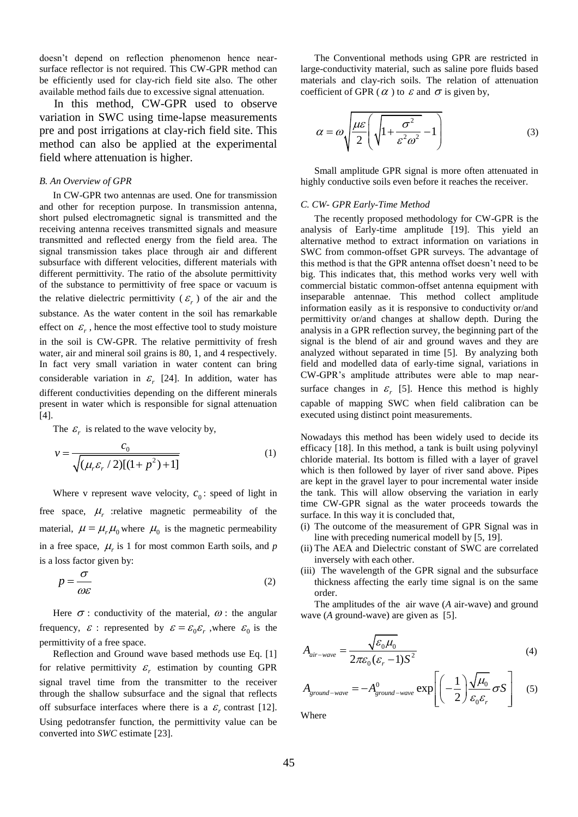doesn't depend on reflection phenomenon hence nearsurface reflector is not required. This CW-GPR method can be efficiently used for clay-rich field site also. The other available method fails due to excessive signal attenuation.

 In this method, CW-GPR used to observe variation in SWC using time-lapse measurements pre and post irrigations at clay-rich field site. This method can also be applied at the experimental field where attenuation is higher.

## *B. An Overview of GPR*

In CW-GPR two antennas are used. One for transmission and other for reception purpose. In transmission antenna, short pulsed electromagnetic signal is transmitted and the receiving antenna receives transmitted signals and measure transmitted and reflected energy from the field area. The signal transmission takes place through air and different subsurface with different velocities, different materials with different permittivity. The ratio of the absolute permittivity of the substance to permittivity of free space or vacuum is the relative dielectric permittivity  $(\varepsilon_r)$  of the air and the substance. As the water content in the soil has remarkable effect on  $\mathcal{E}_r$ , hence the most effective tool to study moisture in the soil is CW-GPR. The relative permittivity of fresh water, air and mineral soil grains is 80, 1, and 4 respectively. In fact very small variation in water content can bring considerable variation in  $\varepsilon$ <sub>r</sub> [24]. In addition, water has different conductivities depending on the different minerals present in water which is responsible for signal attenuation [4].

The  $\varepsilon_r$  is related to the wave velocity by,

$$
v = \frac{c_0}{\sqrt{(\mu_r \varepsilon_r / 2)[(1 + p^2) + 1]}}
$$
(1)

Where v represent wave velocity,  $c_0$ : speed of light in free space,  $\mu_r$  :relative magnetic permeability of the material,  $\mu = \mu_r \mu_0$  where  $\mu_0$  is the magnetic permeability in a free space,  $\mu_r$  is 1 for most common Earth soils, and *p* is a loss factor given by:

$$
p = \frac{\sigma}{\omega \varepsilon} \tag{2}
$$

Here  $\sigma$ : conductivity of the material,  $\omega$ : the angular frequency,  $\mathcal{E}$ : represented by  $\mathcal{E} = \mathcal{E}_0 \mathcal{E}_r$ , where  $\mathcal{E}_0$  is the permittivity of a free space.

Reflection and Ground wave based methods use Eq. [1] for relative permittivity  $\varepsilon_r$  estimation by counting GPR signal travel time from the transmitter to the receiver through the shallow subsurface and the signal that reflects off subsurface interfaces where there is a  $\varepsilon_r$  contrast [12]. Using pedotransfer function, the permittivity value can be converted into *SWC* estimate [23].

The Conventional methods using GPR are restricted in large-conductivity material, such as saline pore fluids based materials and clay-rich soils. The relation of attenuation coefficient of GPR ( $\alpha$ ) to  $\varepsilon$  and  $\sigma$  is given by,

$$
\alpha = \omega \sqrt{\frac{\mu \varepsilon}{2} \left( \sqrt{1 + \frac{\sigma^2}{\varepsilon^2 \omega^2}} - 1 \right)}
$$
(3)

Small amplitude GPR signal is more often attenuated in highly conductive soils even before it reaches the receiver.

## *C. CW- GPR Early-Time Method*

The recently proposed methodology for CW-GPR is the analysis of Early-time amplitude [19]. This yield an alternative method to extract information on variations in SWC from common-offset GPR surveys. The advantage of this method is that the GPR antenna offset doesn't need to be big. This indicates that, this method works very well with commercial bistatic common-offset antenna equipment with inseparable antennae. This method collect amplitude information easily as it is responsive to conductivity or/and permittivity or/and changes at shallow depth. During the analysis in a GPR reflection survey, the beginning part of the signal is the blend of air and ground waves and they are analyzed without separated in time [5]. By analyzing both field and modelled data of early-time signal, variations in CW-GPR's amplitude attributes were able to map nearsurface changes in  $\varepsilon_r$  [5]. Hence this method is highly capable of mapping SWC when field calibration can be executed using distinct point measurements.

Nowadays this method has been widely used to decide its efficacy [18]. In this method, a tank is built using polyvinyl chloride material. Its bottom is filled with a layer of gravel which is then followed by layer of river sand above. Pipes are kept in the gravel layer to pour incremental water inside the tank. This will allow observing the variation in early time CW-GPR signal as the water proceeds towards the surface. In this way it is concluded that,

- (i) The outcome of the measurement of GPR Signal was in line with preceding numerical modell by [5, 19].
- (ii) The AEA and Dielectric constant of SWC are correlated inversely with each other.
- (iii) The wavelength of the GPR signal and the subsurface thickness affecting the early time signal is on the same order.

The amplitudes of the air wave (*A* air-wave) and ground wave (*A* ground-wave) are given as [5].

$$
A_{air-wave} = \frac{\sqrt{\varepsilon_0 \mu_0}}{2\pi\varepsilon_0 (\varepsilon_r - 1)S^2}
$$
(4)  

$$
A = -A^0 \qquad \exp\left[ \left( -\frac{1}{2} \right) \frac{\sqrt{\mu_0}}{\sigma S} \right]
$$
(5)

$$
A_{ground-wave} = -A_{ground-wave}^{0} \exp\left[\left(-\frac{1}{2}\right) \frac{\sqrt{\mu_0}}{\varepsilon_0 \varepsilon_r} \sigma S\right]
$$
 (5)

Where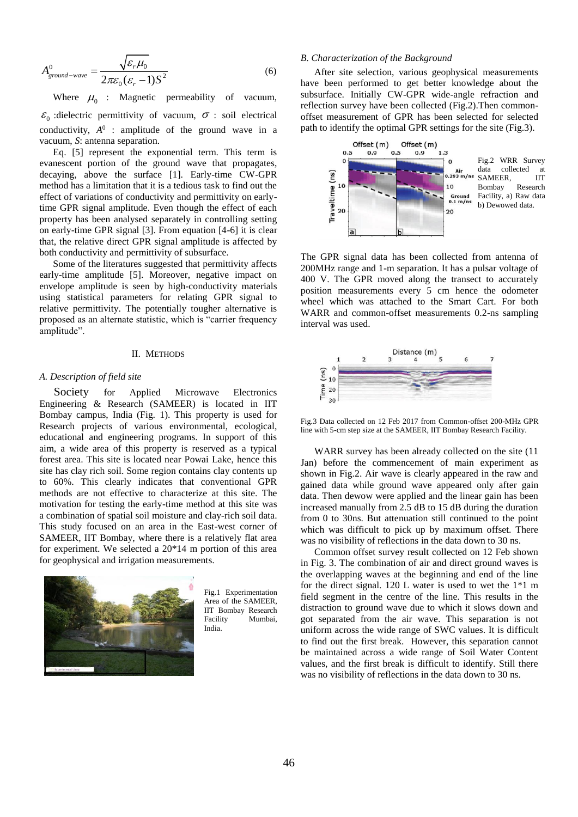$$
A_{ground-wave}^{0} = \frac{\sqrt{\varepsilon_r \mu_0}}{2\pi\varepsilon_0 (\varepsilon_r - 1)S^2}
$$
 (6)

Where  $\mu_0$  : Magnetic permeability of vacuum,  $\varepsilon_0$  : dielectric permittivity of vacuum,  $\sigma$  : soil electrical conductivity,  $A^0$  : amplitude of the ground wave in a vacuum, *S*: antenna separation.

Eq. [5] represent the exponential term. This term is evanescent portion of the ground wave that propagates, decaying, above the surface [1]. Early-time CW-GPR method has a limitation that it is a tedious task to find out the effect of variations of conductivity and permittivity on earlytime GPR signal amplitude. Even though the effect of each property has been analysed separately in controlling setting on early-time GPR signal [3]. From equation [4-6] it is clear that, the relative direct GPR signal amplitude is affected by both conductivity and permittivity of subsurface.

Some of the literatures suggested that permittivity affects early-time amplitude [5]. Moreover, negative impact on envelope amplitude is seen by high-conductivity materials using statistical parameters for relating GPR signal to relative permittivity. The potentially tougher alternative is proposed as an alternate statistic, which is "carrier frequency amplitude".

#### II. METHODS

## *A. Description of field site*

 Society for Applied Microwave Electronics Engineering & Research (SAMEER) is located in IIT Bombay campus, India (Fig. 1). This property is used for Research projects of various environmental, ecological, educational and engineering programs. In support of this aim, a wide area of this property is reserved as a typical forest area. This site is located near Powai Lake, hence this site has clay rich soil. Some region contains clay contents up to 60%. This clearly indicates that conventional GPR methods are not effective to characterize at this site. The motivation for testing the early-time method at this site was a combination of spatial soil moisture and clay-rich soil data. This study focused on an area in the East-west corner of SAMEER, IIT Bombay, where there is a relatively flat area for experiment. We selected a 20\*14 m portion of this area for geophysical and irrigation measurements.



Fig.1 Experimentation Area of the SAMEER, IIT Bombay Research Facility Mumbai, India.

## *B. Characterization of the Background*

After site selection, various geophysical measurements have been performed to get better knowledge about the subsurface. Initially CW-GPR wide-angle refraction and reflection survey have been collected (Fig.2).Then commonoffset measurement of GPR has been selected for selected path to identify the optimal GPR settings for the site (Fig.3).



The GPR signal data has been collected from antenna of 200MHz range and 1-m separation. It has a pulsar voltage of 400 V. The GPR moved along the transect to accurately position measurements every 5 cm hence the odometer wheel which was attached to the Smart Cart. For both WARR and common-offset measurements 0.2-ns sampling interval was used.



Fig.3 Data collected on 12 Feb 2017 from Common-offset 200-MHz GPR line with 5-cm step size at the SAMEER, IIT Bombay Research Facility.

WARR survey has been already collected on the site (11 Jan) before the commencement of main experiment as shown in Fig.2. Air wave is clearly appeared in the raw and gained data while ground wave appeared only after gain data. Then dewow were applied and the linear gain has been increased manually from 2.5 dB to 15 dB during the duration from 0 to 30ns. But attenuation still continued to the point which was difficult to pick up by maximum offset. There was no visibility of reflections in the data down to 30 ns.

Common offset survey result collected on 12 Feb shown in Fig. 3. The combination of air and direct ground waves is the overlapping waves at the beginning and end of the line for the direct signal. 120 L water is used to wet the 1\*1 m field segment in the centre of the line. This results in the distraction to ground wave due to which it slows down and got separated from the air wave. This separation is not uniform across the wide range of SWC values. It is difficult to find out the first break. However, this separation cannot be maintained across a wide range of Soil Water Content values, and the first break is difficult to identify. Still there was no visibility of reflections in the data down to 30 ns.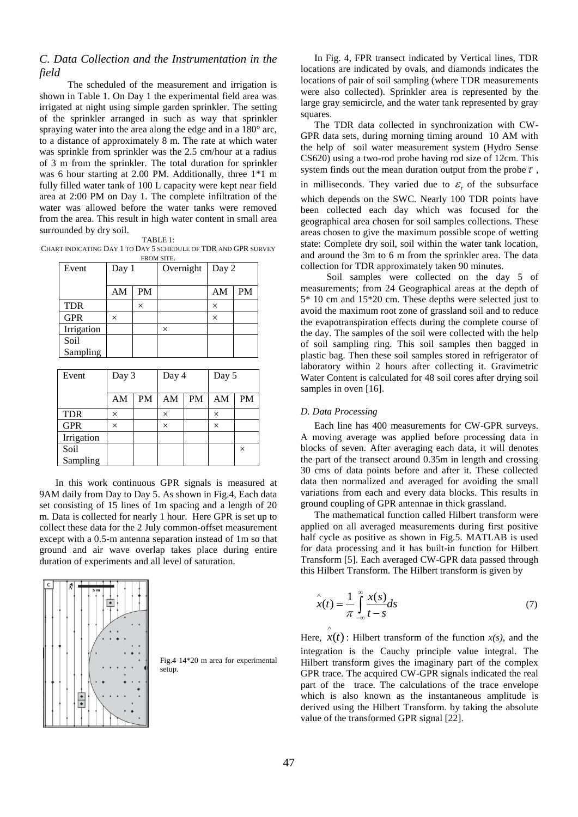# *C. Data Collection and the Instrumentation in the field*

The scheduled of the measurement and irrigation is shown in Table 1. On Day 1 the experimental field area was irrigated at night using simple garden sprinkler. The setting of the sprinkler arranged in such as way that sprinkler spraying water into the area along the edge and in a 180 $^{\circ}$  arc, to a distance of approximately 8 m. The rate at which water was sprinkle from sprinkler was the 2.5 cm/hour at a radius of 3 m from the sprinkler. The total duration for sprinkler was 6 hour starting at 2.00 PM. Additionally, three 1\*1 m fully filled water tank of 100 L capacity were kept near field area at 2:00 PM on Day 1. The complete infiltration of the water was allowed before the water tanks were removed from the area. This result in high water content in small area surrounded by dry soil.

| ABI<br>л. |  |
|-----------|--|

CHART INDICATING DAY 1 TO DAY 5 SCHEDULE OF TDR AND GPR SURVEY FROM SITE.

| Event      | TIVOM SITE.<br>Day 1 |           | Overnight | Day 2    |           |
|------------|----------------------|-----------|-----------|----------|-----------|
|            | AM                   | <b>PM</b> |           | AM       | <b>PM</b> |
| <b>TDR</b> |                      | $\times$  |           | $\times$ |           |
| <b>GPR</b> | ×                    |           |           | $\times$ |           |
| Irrigation |                      |           | ×         |          |           |
| Soil       |                      |           |           |          |           |
| Sampling   |                      |           |           |          |           |

| Event      | Day 3 |           | Day 4    |           | Day 5    |          |
|------------|-------|-----------|----------|-----------|----------|----------|
|            | AM    | <b>PM</b> | AM       | <b>PM</b> | AM       | PM       |
| <b>TDR</b> | ×     |           | $\times$ |           | $\times$ |          |
| <b>GPR</b> | ×     |           | $\times$ |           | $\times$ |          |
| Irrigation |       |           |          |           |          |          |
| Soil       |       |           |          |           |          | $\times$ |
| Sampling   |       |           |          |           |          |          |

In this work continuous GPR signals is measured at 9AM daily from Day to Day 5. As shown in Fig.4, Each data set consisting of 15 lines of 1m spacing and a length of 20 m. Data is collected for nearly 1 hour. Here GPR is set up to collect these data for the 2 July common-offset measurement except with a 0.5-m antenna separation instead of 1m so that ground and air wave overlap takes place during entire duration of experiments and all level of saturation.



Fig.4 14\*20 m area for experimental setup.

In Fig. 4, FPR transect indicated by Vertical lines, TDR locations are indicated by ovals, and diamonds indicates the locations of pair of soil sampling (where TDR measurements were also collected). Sprinkler area is represented by the large gray semicircle, and the water tank represented by gray squares.

The TDR data collected in synchronization with CW-GPR data sets, during morning timing around 10 AM with the help of soil water measurement system (Hydro Sense CS620) using a two-rod probe having rod size of 12cm. This system finds out the mean duration output from the probe  $\tau$ , in milliseconds. They varied due to  $\varepsilon_r$  of the subsurface which depends on the SWC. Nearly 100 TDR points have been collected each day which was focused for the geographical area chosen for soil samples collections. These areas chosen to give the maximum possible scope of wetting state: Complete dry soil, soil within the water tank location, and around the 3m to 6 m from the sprinkler area. The data collection for TDR approximately taken 90 minutes.

 Soil samples were collected on the day 5 of measurements; from 24 Geographical areas at the depth of 5\* 10 cm and 15\*20 cm. These depths were selected just to avoid the maximum root zone of grassland soil and to reduce the evapotranspiration effects during the complete course of the day. The samples of the soil were collected with the help of soil sampling ring. This soil samples then bagged in plastic bag. Then these soil samples stored in refrigerator of laboratory within 2 hours after collecting it. Gravimetric Water Content is calculated for 48 soil cores after drying soil samples in oven [16].

# *D. Data Processing*

 $\wedge$ 

Each line has 400 measurements for CW-GPR surveys. A moving average was applied before processing data in blocks of seven. After averaging each data, it will denotes the part of the transect around 0.35m in length and crossing 30 cms of data points before and after it. These collected data then normalized and averaged for avoiding the small variations from each and every data blocks. This results in ground coupling of GPR antennae in thick grassland.

The mathematical function called Hilbert transform were applied on all averaged measurements during first positive half cycle as positive as shown in Fig.5. MATLAB is used for data processing and it has built-in function for Hilbert Transform [5]. Each averaged CW-GPR data passed through this Hilbert Transform. The Hilbert transform is given by

$$
\hat{x}(t) = \frac{1}{\pi} \int_{-\infty}^{\infty} \frac{x(s)}{t - s} ds \tag{7}
$$

Here,  $x(t)$ : Hilbert transform of the function  $x(s)$ , and the integration is the Cauchy principle value integral. The Hilbert transform gives the imaginary part of the complex GPR trace. The acquired CW-GPR signals indicated the real part of the trace. The calculations of the trace envelope which is also known as the instantaneous amplitude is derived using the Hilbert Transform. by taking the absolute value of the transformed GPR signal [22].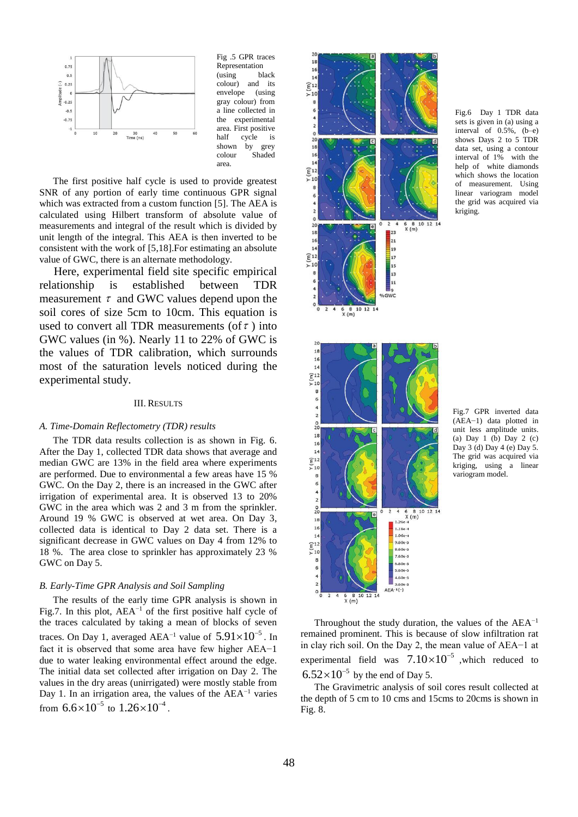

Fig .5 GPR traces Representation (using black colour) and its envelope (using gray colour) from a line collected in the experimental area. First positive half cycle is shown by grey colour Shaded area.

The first positive half cycle is used to provide greatest SNR of any portion of early time continuous GPR signal which was extracted from a custom function [5]. The AEA is calculated using Hilbert transform of absolute value of measurements and integral of the result which is divided by unit length of the integral. This AEA is then inverted to be consistent with the work of [5,18].For estimating an absolute value of GWC, there is an alternate methodology.

 Here, experimental field site specific empirical relationship is established between TDR measurement  $\tau$  and GWC values depend upon the soil cores of size 5cm to 10cm. This equation is used to convert all TDR measurements (of  $\tau$  ) into GWC values (in %). Nearly 11 to 22% of GWC is the values of TDR calibration, which surrounds most of the saturation levels noticed during the experimental study.

## III. RESULTS

## *A. Time-Domain Reflectometry (TDR) results*

The TDR data results collection is as shown in Fig. 6. After the Day 1, collected TDR data shows that average and median GWC are 13% in the field area where experiments are performed. Due to environmental a few areas have 15 % GWC. On the Day 2, there is an increased in the GWC after irrigation of experimental area. It is observed 13 to 20% GWC in the area which was 2 and 3 m from the sprinkler. Around 19 % GWC is observed at wet area. On Day 3, collected data is identical to Day 2 data set. There is a significant decrease in GWC values on Day 4 from 12% to 18 %. The area close to sprinkler has approximately 23 % GWC on Day 5.

## *B. Early-Time GPR Analysis and Soil Sampling*

The results of the early time GPR analysis is shown in Fig.7. In this plot, AEA−1 of the first positive half cycle of the traces calculated by taking a mean of blocks of seven traces. On Day 1, averaged AEA<sup>-1</sup> value of  $5.91\times10^{-5}$ . In fact it is observed that some area have few higher AEA−1 due to water leaking environmental effect around the edge. The initial data set collected after irrigation on Day 2. The values in the dry areas (unirrigated) were mostly stable from Day 1. In an irrigation area, the values of the AEA−1 varies from  $6.6 \times 10^{-5}$  to  $1.26 \times 10^{-4}$ .



Fig.6 Day 1 TDR data sets is given in (a) using a interval of 0.5%, (b–e) shows Days 2 to 5 TDR data set, using a contour interval of 1% with the help of white diamonds which shows the location of measurement. Using linear variogram model the grid was acquired via kriging.

Fig.7 GPR inverted data (AEA−1) data plotted in unit less amplitude units. (a) Day 1 (b) Day 2 (c) Day 3 (d) Day 4 (e) Day 5. The grid was acquired via kriging, using a linear variogram model.

Throughout the study duration, the values of the  $AEA^{-1}$ remained prominent. This is because of slow infiltration rat in clay rich soil. On the Day 2, the mean value of AEA−1 at experimental field was  $7.10\times10^{-5}$  , which reduced to  $6.52 \times 10^{-5}$  by the end of Day 5.

The Gravimetric analysis of soil cores result collected at the depth of 5 cm to 10 cms and 15cms to 20cms is shown in Fig. 8.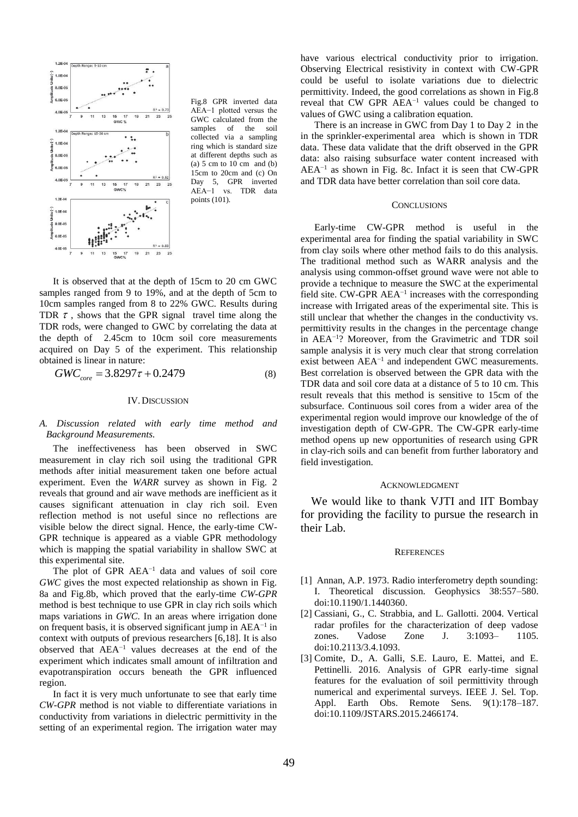

Fig.8 GPR inverted data AEA−1 plotted versus the GWC calculated from the samples of the soil collected via a sampling ring which is standard size at different depths such as (a)  $5 \text{ cm}$  to  $10 \text{ cm}$  and (b) 15cm to 20cm and (c) On Day 5, GPR inverted AEA−1 vs. TDR data points (101).

It is observed that at the depth of 15cm to 20 cm GWC samples ranged from 9 to 19%, and at the depth of 5cm to 10cm samples ranged from 8 to 22% GWC. Results during TDR  $\tau$ , shows that the GPR signal travel time along the TDR rods, were changed to GWC by correlating the data at the depth of 2.45cm to 10cm soil core measurements acquired on Day 5 of the experiment. This relationship  $600$  obtained is linear in nature:<br> $GWC_{core} = 3.8297\tau + 0.2479$ 

need is linear in nature:

\n
$$
W_0 = 3.8297\tau + 0.2479\tag{8}
$$

## IV.DISCUSSION

## *A. Discussion related with early time method and Background Measurements.*

The ineffectiveness has been observed in SWC measurement in clay rich soil using the traditional GPR methods after initial measurement taken one before actual experiment. Even the *WARR* survey as shown in Fig. 2 reveals that ground and air wave methods are inefficient as it causes significant attenuation in clay rich soil. Even reflection method is not useful since no reflections are visible below the direct signal. Hence, the early-time CW-GPR technique is appeared as a viable GPR methodology which is mapping the spatial variability in shallow SWC at this experimental site.

The plot of GPR  $AEA^{-1}$  data and values of soil core *GWC* gives the most expected relationship as shown in Fig. 8a and Fig.8b, which proved that the early-time *CW-GPR* method is best technique to use GPR in clay rich soils which maps variations in *GWC*. In an areas where irrigation done on frequent basis, it is observed significant jump in AEA−1 in context with outputs of previous researchers [6,18]. It is also observed that AEA−1 values decreases at the end of the experiment which indicates small amount of infiltration and evapotranspiration occurs beneath the GPR influenced region.

In fact it is very much unfortunate to see that early time *CW-GPR* method is not viable to differentiate variations in conductivity from variations in dielectric permittivity in the setting of an experimental region. The irrigation water may

have various electrical conductivity prior to irrigation. Observing Electrical resistivity in context with CW-GPR could be useful to isolate variations due to dielectric permittivity. Indeed, the good correlations as shown in Fig.8 reveal that CW GPR AEA−1 values could be changed to values of GWC using a calibration equation.

There is an increase in GWC from Day 1 to Day 2 in the in the sprinkler-experimental area which is shown in TDR data. These data validate that the drift observed in the GPR data: also raising subsurface water content increased with AEA−1 as shown in Fig. 8c. Infact it is seen that CW-GPR and TDR data have better correlation than soil core data.

## **CONCLUSIONS**

Early-time CW-GPR method is useful in the experimental area for finding the spatial variability in SWC from clay soils where other method fails to do this analysis. The traditional method such as WARR analysis and the analysis using common-offset ground wave were not able to provide a technique to measure the SWC at the experimental field site. CW-GPR AEA−1 increases with the corresponding increase with Irrigated areas of the experimental site. This is still unclear that whether the changes in the conductivity vs. permittivity results in the changes in the percentage change in AEA−1 ? Moreover, from the Gravimetric and TDR soil sample analysis it is very much clear that strong correlation exist between AEA<sup>-1</sup> and independent GWC measurements. Best correlation is observed between the GPR data with the TDR data and soil core data at a distance of 5 to 10 cm. This result reveals that this method is sensitive to 15cm of the subsurface. Continuous soil cores from a wider area of the experimental region would improve our knowledge of the of investigation depth of CW-GPR. The CW-GPR early-time method opens up new opportunities of research using GPR in clay-rich soils and can benefit from further laboratory and field investigation.

#### ACKNOWLEDGMENT

We would like to thank VJTI and IIT Bombay for providing the facility to pursue the research in their Lab.

#### **REFERENCES**

- [1] Annan, A.P. 1973. Radio interferometry depth sounding: I. Theoretical discussion. Geophysics 38:557–580. doi:10.1190/1.1440360.
- [2] Cassiani, G., C. Strabbia, and L. Gallotti. 2004. Vertical radar profiles for the characterization of deep vadose zones. Vadose Zone J. 3:1093– 1105. doi:10.2113/3.4.1093.
- [3] Comite, D., A. Galli, S.E. Lauro, E. Mattei, and E. Pettinelli. 2016. Analysis of GPR early-time signal features for the evaluation of soil permittivity through numerical and experimental surveys. IEEE J. Sel. Top. Appl. Earth Obs. Remote Sens. 9(1):178–187. doi:10.1109/JSTARS.2015.2466174.